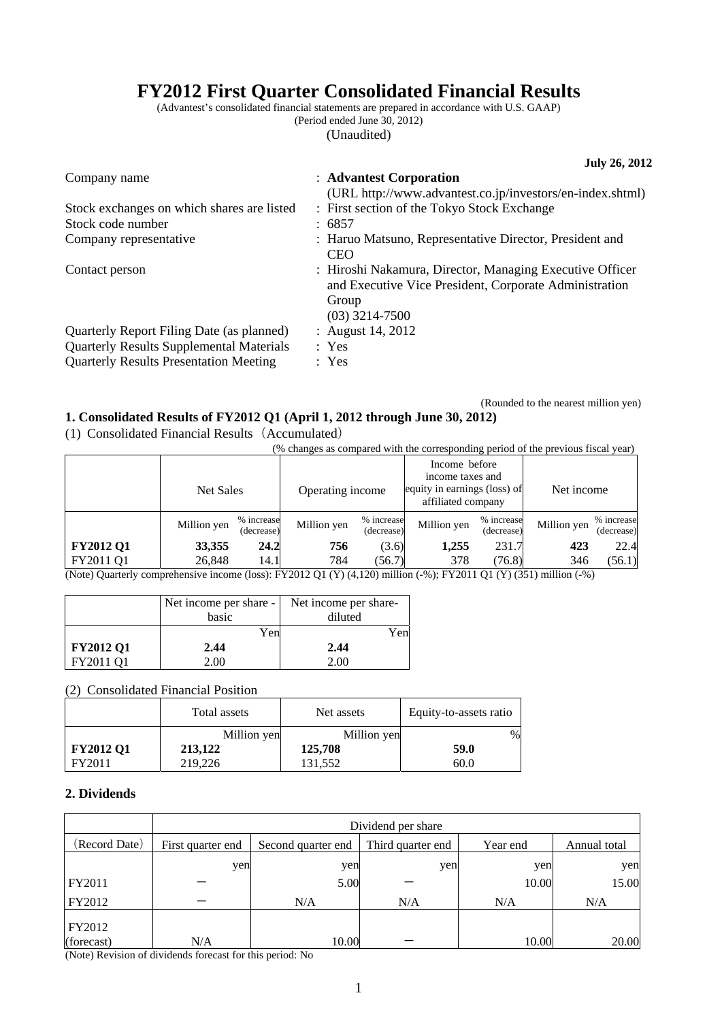# **FY2012 First Quarter Consolidated Financial Results**

(Advantest's consolidated financial statements are prepared in accordance with U.S. GAAP) (Period ended June 30, 2012)

(Unaudited)

|                                                                                                                                               | <b>July 26, 2012</b>                                                                                                                            |
|-----------------------------------------------------------------------------------------------------------------------------------------------|-------------------------------------------------------------------------------------------------------------------------------------------------|
| Company name                                                                                                                                  | : Advantest Corporation<br>(URL http://www.advantest.co.jp/investors/en-index.shtml)                                                            |
| Stock exchanges on which shares are listed                                                                                                    | : First section of the Tokyo Stock Exchange                                                                                                     |
| Stock code number                                                                                                                             | : 6857                                                                                                                                          |
| Company representative                                                                                                                        | : Haruo Matsuno, Representative Director, President and<br><b>CEO</b>                                                                           |
| Contact person                                                                                                                                | : Hiroshi Nakamura, Director, Managing Executive Officer<br>and Executive Vice President, Corporate Administration<br>Group<br>$(03)$ 3214-7500 |
| Quarterly Report Filing Date (as planned)<br><b>Quarterly Results Supplemental Materials</b><br><b>Quarterly Results Presentation Meeting</b> | : August 14, 2012<br>: Yes<br>: Yes                                                                                                             |

(Rounded to the nearest million yen)

### **1. Consolidated Results of FY2012 Q1 (April 1, 2012 through June 30, 2012)**

(1) Consolidated Financial Results(Accumulated)

(% changes as compared with the corresponding period of the previous fiscal year)

|                  | Net Sales   |                          | Operating income |                          | Income before<br>income taxes and<br>equity in earnings (loss) of<br>affiliated company |                          | Net income  |                          |
|------------------|-------------|--------------------------|------------------|--------------------------|-----------------------------------------------------------------------------------------|--------------------------|-------------|--------------------------|
|                  | Million yen | % increase<br>(decrease) | Million yen      | % increase<br>(decrease) | Million yen                                                                             | % increase<br>(decrease) | Million yen | % increase<br>(decrease) |
| <b>FY2012 Q1</b> | 33,355      | 24.2                     | 756              | (3.6)                    | 1,255                                                                                   | 231.7                    | 423         | 22.4                     |
| FY2011 Q1        | 26,848      | 14.1                     | 784              | (56.7)                   | 378                                                                                     | (76.8)                   | 346         | (56.1)                   |

(Note) Quarterly comprehensive income (loss): FY2012 Q1 (Y) (4,120) million (-%); FY2011 Q1 (Y) (351) million (-%)

|                  | Net income per share - | Net income per share- |
|------------------|------------------------|-----------------------|
|                  | basic                  | diluted               |
|                  | Yen                    | Yen                   |
| <b>FY2012 Q1</b> | 2.44                   | 2.44                  |
| FY2011 O1        | 2.00                   |                       |

(2) Consolidated Financial Position

| $\sim$<br>Consondated Financial I Ostuon |              |             |                        |  |  |  |
|------------------------------------------|--------------|-------------|------------------------|--|--|--|
|                                          | Total assets | Net assets  | Equity-to-assets ratio |  |  |  |
|                                          | Million yen  | Million yen | %                      |  |  |  |
| <b>FY2012 Q1</b>                         | 213,122      | 125,708     | 59.0                   |  |  |  |
| FY2011                                   | 219,226      | 131.552     | 60.0                   |  |  |  |

### **2. Dividends**

|               | Dividend per share |                    |                   |          |              |
|---------------|--------------------|--------------------|-------------------|----------|--------------|
| (Record Date) | First quarter end  | Second quarter end | Third quarter end | Year end | Annual total |
|               | yen                | yen                | yen               | yen      | yen          |
| FY2011        |                    | 5.00               |                   | 10.00    | 15.00        |
| FY2012        |                    | N/A                | N/A               | N/A      | N/A          |
| FY2012        |                    |                    |                   |          |              |
| (forecast)    | N/A                | 10.00              |                   | 10.00    | 20.00        |

(Note) Revision of dividends forecast for this period: No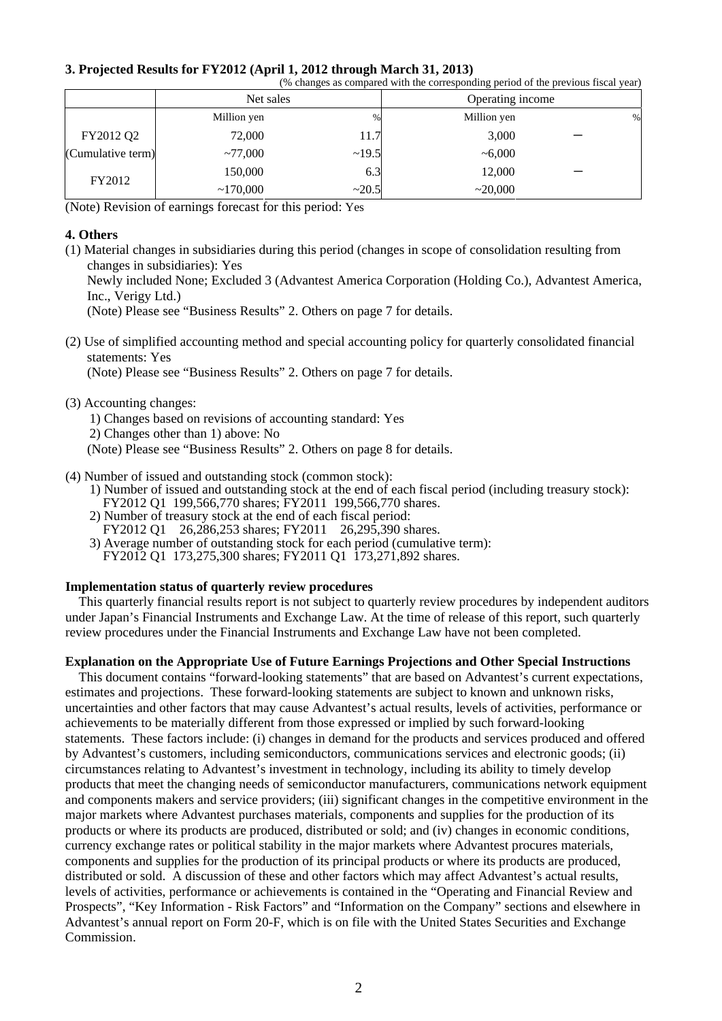|  | 3. Projected Results for FY2012 (April 1, 2012 through March 31, 2013) |  |  |  |
|--|------------------------------------------------------------------------|--|--|--|
|  |                                                                        |  |  |  |

| (% changes as compared with the corresponding period of the previous fiscal year) |             |       |                  |   |
|-----------------------------------------------------------------------------------|-------------|-------|------------------|---|
|                                                                                   | Net sales   |       | Operating income |   |
|                                                                                   | Million yen | $\%$  | Million yen      | % |
| FY2012 Q2                                                                         | 72,000      | 11.7  | 3,000            |   |
| (Cumulative term)                                                                 | ~1000       | ~19.5 | ~1000            |   |
| FY2012                                                                            | 150,000     | 6.3   | 12,000           |   |
|                                                                                   | ~170,000    | ~20.5 | ~20,000          |   |

(Note) Revision of earnings forecast for this period: Yes

#### **4. Others**

(1) Material changes in subsidiaries during this period (changes in scope of consolidation resulting from changes in subsidiaries): Yes Newly included None; Excluded 3 (Advantest America Corporation (Holding Co.), Advantest America, Inc., Verigy Ltd.)

(Note) Please see "Business Results" 2. Others on page 7 for details.

(2) Use of simplified accounting method and special accounting policy for quarterly consolidated financial statements: Yes

(Note) Please see "Business Results" 2. Others on page 7 for details.

(3) Accounting changes:

1) Changes based on revisions of accounting standard: Yes 2) Changes other than 1) above: No (Note) Please see "Business Results" 2. Others on page 8 for details.

- (4) Number of issued and outstanding stock (common stock):
	- 1) Number of issued and outstanding stock at the end of each fiscal period (including treasury stock): FY2012 Q1 199,566,770 shares; FY2011 199,566,770 shares.
	- 2) Number of treasury stock at the end of each fiscal period: FY2012 Q1 26,286,253 shares; FY2011 26,295,390 shares.
	- 3) Average number of outstanding stock for each period (cumulative term): FY2012 Q1 173,275,300 shares; FY2011 Q1 173,271,892 shares.

# **Implementation status of quarterly review procedures**

This quarterly financial results report is not subject to quarterly review procedures by independent auditors under Japan's Financial Instruments and Exchange Law. At the time of release of this report, such quarterly review procedures under the Financial Instruments and Exchange Law have not been completed.

### **Explanation on the Appropriate Use of Future Earnings Projections and Other Special Instructions**

This document contains "forward-looking statements" that are based on Advantest's current expectations, estimates and projections. These forward-looking statements are subject to known and unknown risks, uncertainties and other factors that may cause Advantest's actual results, levels of activities, performance or achievements to be materially different from those expressed or implied by such forward-looking statements. These factors include: (i) changes in demand for the products and services produced and offered by Advantest's customers, including semiconductors, communications services and electronic goods; (ii) circumstances relating to Advantest's investment in technology, including its ability to timely develop products that meet the changing needs of semiconductor manufacturers, communications network equipment and components makers and service providers; (iii) significant changes in the competitive environment in the major markets where Advantest purchases materials, components and supplies for the production of its products or where its products are produced, distributed or sold; and (iv) changes in economic conditions, currency exchange rates or political stability in the major markets where Advantest procures materials, components and supplies for the production of its principal products or where its products are produced, distributed or sold. A discussion of these and other factors which may affect Advantest's actual results, levels of activities, performance or achievements is contained in the "Operating and Financial Review and Prospects", "Key Information - Risk Factors" and "Information on the Company" sections and elsewhere in Advantest's annual report on Form 20-F, which is on file with the United States Securities and Exchange Commission.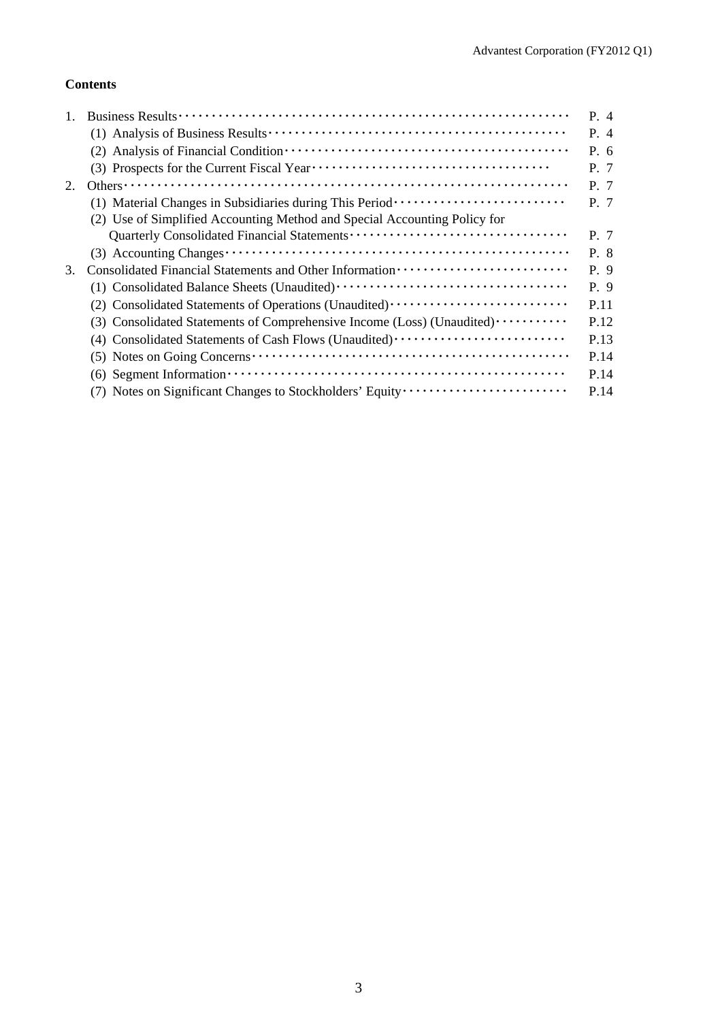## **Contents**

|                                                                                                                         | P. 4                                                                                                                                  |
|-------------------------------------------------------------------------------------------------------------------------|---------------------------------------------------------------------------------------------------------------------------------------|
|                                                                                                                         | P. 4                                                                                                                                  |
|                                                                                                                         | P. 6                                                                                                                                  |
|                                                                                                                         | P. 7                                                                                                                                  |
|                                                                                                                         | P. 7                                                                                                                                  |
| (1) Material Changes in Subsidiaries during This Period ························                                        | P. 7                                                                                                                                  |
| (2) Use of Simplified Accounting Method and Special Accounting Policy for                                               |                                                                                                                                       |
|                                                                                                                         | P. 7                                                                                                                                  |
|                                                                                                                         | P. 8                                                                                                                                  |
|                                                                                                                         | P. 9                                                                                                                                  |
|                                                                                                                         | P. 9                                                                                                                                  |
|                                                                                                                         | P.11                                                                                                                                  |
| (3) Consolidated Statements of Comprehensive Income (Loss) (Unaudited)                                                  | P.12                                                                                                                                  |
| (4) Consolidated Statements of Cash Flows (Unaudited)                                                                   | P.13                                                                                                                                  |
| $(5)$ Notes on Going Concerns $\cdots$ $\cdots$ $\cdots$ $\cdots$ $\cdots$ $\cdots$ $\cdots$ $\cdots$ $\cdots$ $\cdots$ | P.14                                                                                                                                  |
|                                                                                                                         | P.14                                                                                                                                  |
| (7) Notes on Significant Changes to Stockholders' Equity                                                                | P.14                                                                                                                                  |
|                                                                                                                         | $(6)$ Segment Information $\cdots$ $\cdots$ $\cdots$ $\cdots$ $\cdots$ $\cdots$ $\cdots$ $\cdots$ $\cdots$ $\cdots$ $\cdots$ $\cdots$ |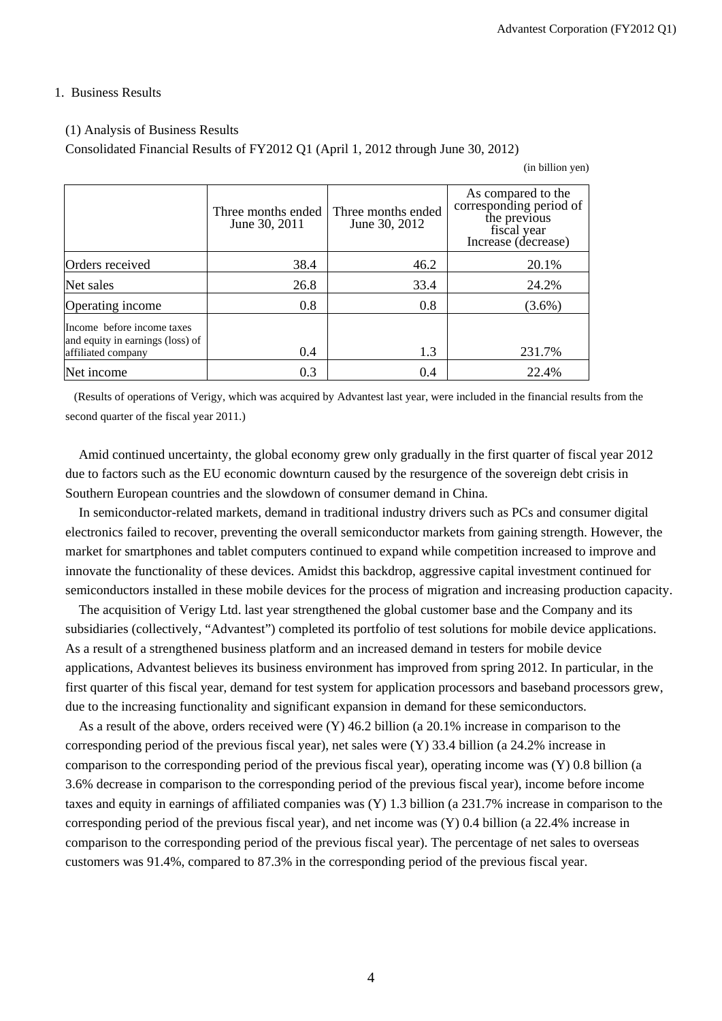#### 1. Business Results

#### (1) Analysis of Business Results

Consolidated Financial Results of FY2012 Q1 (April 1, 2012 through June 30, 2012)

(in billion yen)

|                                                                                      | Three months ended<br>June 30, 2011 | Three months ended<br>June 30, 2012 | As compared to the<br>corresponding period of<br>the previous<br>fiscal year<br>Increase (decrease) |
|--------------------------------------------------------------------------------------|-------------------------------------|-------------------------------------|-----------------------------------------------------------------------------------------------------|
| Orders received                                                                      | 38.4                                | 46.2                                | 20.1%                                                                                               |
| Net sales                                                                            | 26.8                                | 33.4                                | 24.2%                                                                                               |
| Operating income                                                                     | 0.8                                 | 0.8                                 | $(3.6\%)$                                                                                           |
| Income before income taxes<br>and equity in earnings (loss) of<br>affiliated company | 0.4                                 | 1.3                                 | 231.7%                                                                                              |
| Net income                                                                           | 0.3                                 | 0.4                                 | 22.4%                                                                                               |

 (Results of operations of Verigy, which was acquired by Advantest last year, were included in the financial results from the second quarter of the fiscal year 2011.)

Amid continued uncertainty, the global economy grew only gradually in the first quarter of fiscal year 2012 due to factors such as the EU economic downturn caused by the resurgence of the sovereign debt crisis in Southern European countries and the slowdown of consumer demand in China.

In semiconductor-related markets, demand in traditional industry drivers such as PCs and consumer digital electronics failed to recover, preventing the overall semiconductor markets from gaining strength. However, the market for smartphones and tablet computers continued to expand while competition increased to improve and innovate the functionality of these devices. Amidst this backdrop, aggressive capital investment continued for semiconductors installed in these mobile devices for the process of migration and increasing production capacity.

The acquisition of Verigy Ltd. last year strengthened the global customer base and the Company and its subsidiaries (collectively, "Advantest") completed its portfolio of test solutions for mobile device applications. As a result of a strengthened business platform and an increased demand in testers for mobile device applications, Advantest believes its business environment has improved from spring 2012. In particular, in the first quarter of this fiscal year, demand for test system for application processors and baseband processors grew, due to the increasing functionality and significant expansion in demand for these semiconductors.

As a result of the above, orders received were (Y) 46.2 billion (a 20.1% increase in comparison to the corresponding period of the previous fiscal year), net sales were (Y) 33.4 billion (a 24.2% increase in comparison to the corresponding period of the previous fiscal year), operating income was (Y) 0.8 billion (a 3.6% decrease in comparison to the corresponding period of the previous fiscal year), income before income taxes and equity in earnings of affiliated companies was (Y) 1.3 billion (a 231.7% increase in comparison to the corresponding period of the previous fiscal year), and net income was (Y) 0.4 billion (a 22.4% increase in comparison to the corresponding period of the previous fiscal year). The percentage of net sales to overseas customers was 91.4%, compared to 87.3% in the corresponding period of the previous fiscal year.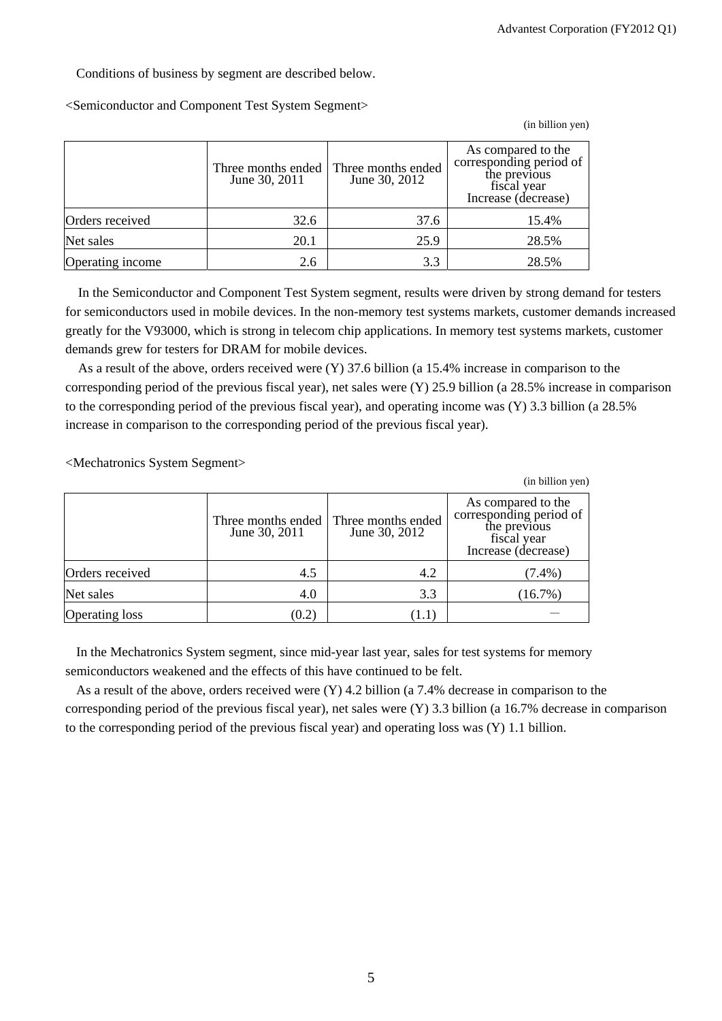Conditions of business by segment are described below.

<Semiconductor and Component Test System Segment>

(in billion yen)

|                  | Three months ended<br>June 30, 2011 | Three months ended<br>June 30, 2012 | As compared to the<br>corresponding period of<br>the previous<br>fiscal year<br>Increase (decrease) |
|------------------|-------------------------------------|-------------------------------------|-----------------------------------------------------------------------------------------------------|
| Orders received  | 32.6                                | 37.6                                | 15.4%                                                                                               |
| Net sales        | 20.1                                | 25.9                                | 28.5%                                                                                               |
| Operating income | 2.6                                 | 3.3                                 | 28.5%                                                                                               |

In the Semiconductor and Component Test System segment, results were driven by strong demand for testers for semiconductors used in mobile devices. In the non-memory test systems markets, customer demands increased greatly for the V93000, which is strong in telecom chip applications. In memory test systems markets, customer demands grew for testers for DRAM for mobile devices.

As a result of the above, orders received were (Y) 37.6 billion (a 15.4% increase in comparison to the corresponding period of the previous fiscal year), net sales were (Y) 25.9 billion (a 28.5% increase in comparison to the corresponding period of the previous fiscal year), and operating income was (Y) 3.3 billion (a 28.5% increase in comparison to the corresponding period of the previous fiscal year).

<Mechatronics System Segment>

|                       |                                     |                                     | (in billion yen)                                                                                    |
|-----------------------|-------------------------------------|-------------------------------------|-----------------------------------------------------------------------------------------------------|
|                       | Three months ended<br>June 30, 2011 | Three months ended<br>June 30, 2012 | As compared to the<br>corresponding period of<br>the previous<br>fiscal year<br>Increase (decrease) |
| Orders received       | 4.5                                 | 4.2                                 | $(7.4\%)$                                                                                           |
| Net sales             | 4.0                                 | 3.3                                 | (16.7%)                                                                                             |
| <b>Operating loss</b> | (0.2)                               |                                     |                                                                                                     |

In the Mechatronics System segment, since mid-year last year, sales for test systems for memory semiconductors weakened and the effects of this have continued to be felt.

As a result of the above, orders received were (Y) 4.2 billion (a 7.4% decrease in comparison to the corresponding period of the previous fiscal year), net sales were (Y) 3.3 billion (a 16.7% decrease in comparison to the corresponding period of the previous fiscal year) and operating loss was  $(Y)$  1.1 billion.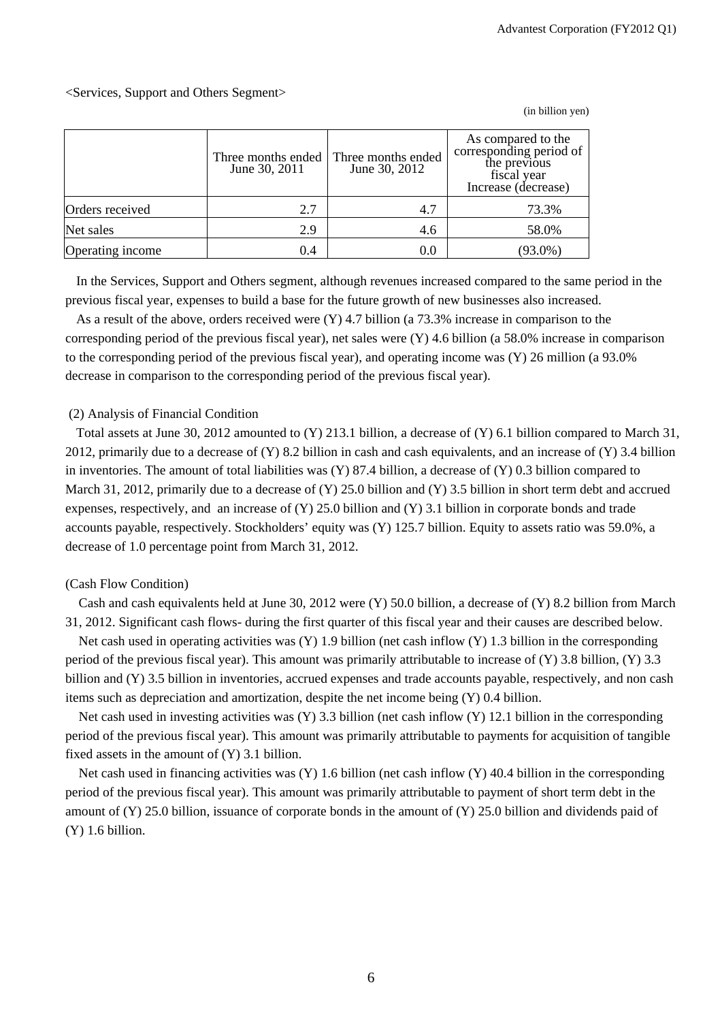### <Services, Support and Others Segment>

|                  | Three months ended<br>June 30, 2011 | Three months ended<br>June 30, 2012 | As compared to the<br>corresponding period of<br>the previous<br>fiscal year<br>Increase (decrease) |
|------------------|-------------------------------------|-------------------------------------|-----------------------------------------------------------------------------------------------------|
| Orders received  | 2.7                                 | 4.7                                 | 73.3%                                                                                               |
| Net sales        | 2.9                                 | 4.6                                 | 58.0%                                                                                               |
| Operating income | 0.4                                 | 0.0                                 | $(93.0\%)$                                                                                          |

(in billion yen)

In the Services, Support and Others segment, although revenues increased compared to the same period in the previous fiscal year, expenses to build a base for the future growth of new businesses also increased.

As a result of the above, orders received were (Y) 4.7 billion (a 73.3% increase in comparison to the corresponding period of the previous fiscal year), net sales were (Y) 4.6 billion (a 58.0% increase in comparison to the corresponding period of the previous fiscal year), and operating income was (Y) 26 million (a 93.0% decrease in comparison to the corresponding period of the previous fiscal year).

#### (2) Analysis of Financial Condition

Total assets at June 30, 2012 amounted to (Y) 213.1 billion, a decrease of (Y) 6.1 billion compared to March 31, 2012, primarily due to a decrease of (Y) 8.2 billion in cash and cash equivalents, and an increase of (Y) 3.4 billion in inventories. The amount of total liabilities was (Y) 87.4 billion, a decrease of (Y) 0.3 billion compared to March 31, 2012, primarily due to a decrease of (Y) 25.0 billion and (Y) 3.5 billion in short term debt and accrued expenses, respectively, and an increase of  $(Y)$  25.0 billion and  $(Y)$  3.1 billion in corporate bonds and trade accounts payable, respectively. Stockholders' equity was (Y) 125.7 billion. Equity to assets ratio was 59.0%, a decrease of 1.0 percentage point from March 31, 2012.

#### (Cash Flow Condition)

Cash and cash equivalents held at June 30, 2012 were (Y) 50.0 billion, a decrease of (Y) 8.2 billion from March 31, 2012. Significant cash flows- during the first quarter of this fiscal year and their causes are described below.

Net cash used in operating activities was (Y) 1.9 billion (net cash inflow (Y) 1.3 billion in the corresponding period of the previous fiscal year). This amount was primarily attributable to increase of (Y) 3.8 billion, (Y) 3.3 billion and (Y) 3.5 billion in inventories, accrued expenses and trade accounts payable, respectively, and non cash items such as depreciation and amortization, despite the net income being (Y) 0.4 billion.

Net cash used in investing activities was (Y) 3.3 billion (net cash inflow (Y) 12.1 billion in the corresponding period of the previous fiscal year). This amount was primarily attributable to payments for acquisition of tangible fixed assets in the amount of (Y) 3.1 billion.

Net cash used in financing activities was (Y) 1.6 billion (net cash inflow (Y) 40.4 billion in the corresponding period of the previous fiscal year). This amount was primarily attributable to payment of short term debt in the amount of (Y) 25.0 billion, issuance of corporate bonds in the amount of (Y) 25.0 billion and dividends paid of (Y) 1.6 billion.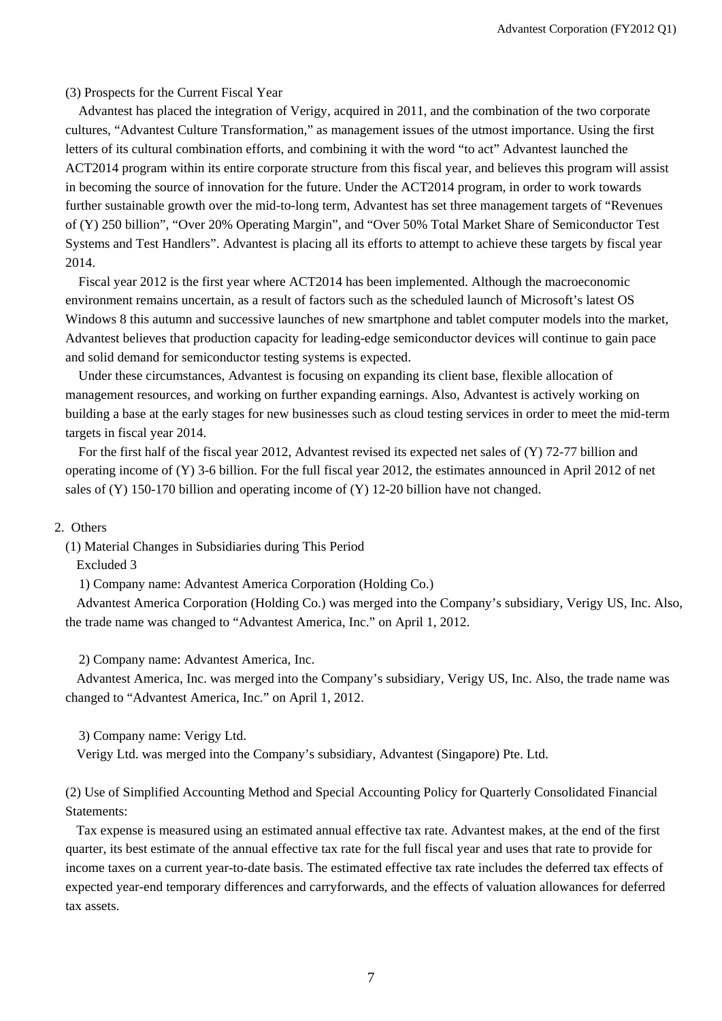#### (3) Prospects for the Current Fiscal Year

Advantest has placed the integration of Verigy, acquired in 2011, and the combination of the two corporate cultures, "Advantest Culture Transformation," as management issues of the utmost importance. Using the first letters of its cultural combination efforts, and combining it with the word "to act" Advantest launched the ACT2014 program within its entire corporate structure from this fiscal year, and believes this program will assist in becoming the source of innovation for the future. Under the ACT2014 program, in order to work towards further sustainable growth over the mid-to-long term, Advantest has set three management targets of "Revenues of (Y) 250 billion", "Over 20% Operating Margin", and "Over 50% Total Market Share of Semiconductor Test Systems and Test Handlers". Advantest is placing all its efforts to attempt to achieve these targets by fiscal year 2014.

Fiscal year 2012 is the first year where ACT2014 has been implemented. Although the macroeconomic environment remains uncertain, as a result of factors such as the scheduled launch of Microsoft's latest OS Windows 8 this autumn and successive launches of new smartphone and tablet computer models into the market, Advantest believes that production capacity for leading-edge semiconductor devices will continue to gain pace and solid demand for semiconductor testing systems is expected.

Under these circumstances, Advantest is focusing on expanding its client base, flexible allocation of management resources, and working on further expanding earnings. Also, Advantest is actively working on building a base at the early stages for new businesses such as cloud testing services in order to meet the mid-term targets in fiscal year 2014.

For the first half of the fiscal year 2012, Advantest revised its expected net sales of (Y) 72-77 billion and operating income of (Y) 3-6 billion. For the full fiscal year 2012, the estimates announced in April 2012 of net sales of (Y) 150-170 billion and operating income of (Y) 12-20 billion have not changed.

#### 2. Others

(1) Material Changes in Subsidiaries during This Period

Excluded 3

1) Company name: Advantest America Corporation (Holding Co.)

Advantest America Corporation (Holding Co.) was merged into the Company's subsidiary, Verigy US, Inc. Also, the trade name was changed to "Advantest America, Inc." on April 1, 2012.

2) Company name: Advantest America, Inc.

Advantest America, Inc. was merged into the Company's subsidiary, Verigy US, Inc. Also, the trade name was changed to "Advantest America, Inc." on April 1, 2012.

3) Company name: Verigy Ltd.

Verigy Ltd. was merged into the Company's subsidiary, Advantest (Singapore) Pte. Ltd.

(2) Use of Simplified Accounting Method and Special Accounting Policy for Quarterly Consolidated Financial Statements:

Tax expense is measured using an estimated annual effective tax rate. Advantest makes, at the end of the first quarter, its best estimate of the annual effective tax rate for the full fiscal year and uses that rate to provide for income taxes on a current year-to-date basis. The estimated effective tax rate includes the deferred tax effects of expected year-end temporary differences and carryforwards, and the effects of valuation allowances for deferred tax assets.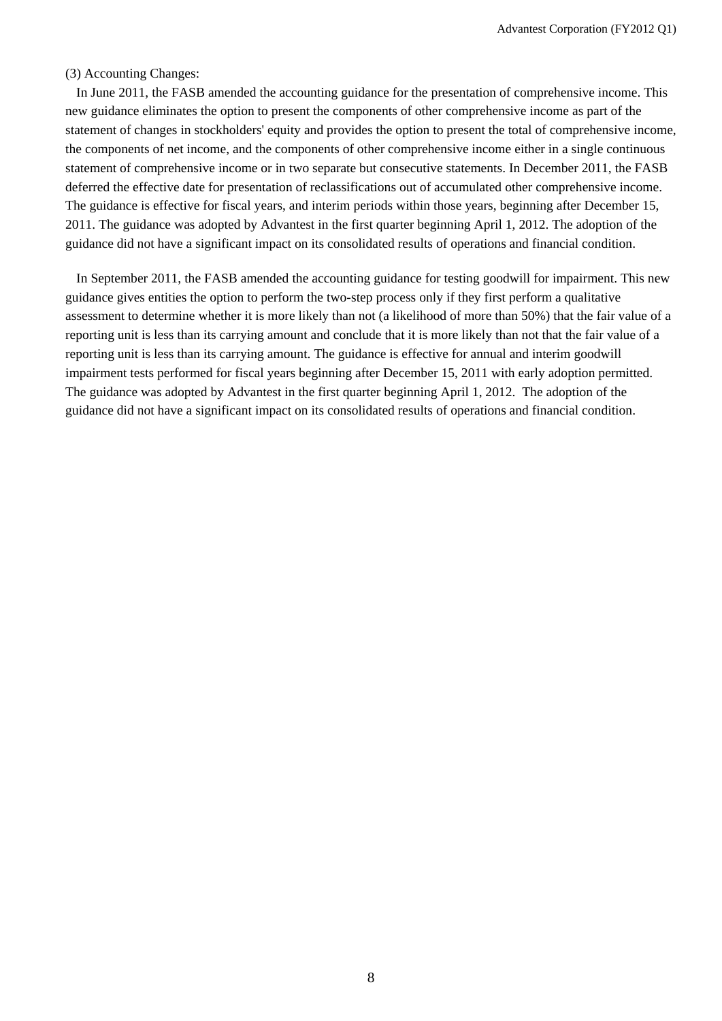#### (3) Accounting Changes:

In June 2011, the FASB amended the accounting guidance for the presentation of comprehensive income. This new guidance eliminates the option to present the components of other comprehensive income as part of the statement of changes in stockholders' equity and provides the option to present the total of comprehensive income, the components of net income, and the components of other comprehensive income either in a single continuous statement of comprehensive income or in two separate but consecutive statements. In December 2011, the FASB deferred the effective date for presentation of reclassifications out of accumulated other comprehensive income. The guidance is effective for fiscal years, and interim periods within those years, beginning after December 15, 2011. The guidance was adopted by Advantest in the first quarter beginning April 1, 2012. The adoption of the guidance did not have a significant impact on its consolidated results of operations and financial condition.

In September 2011, the FASB amended the accounting guidance for testing goodwill for impairment. This new guidance gives entities the option to perform the two-step process only if they first perform a qualitative assessment to determine whether it is more likely than not (a likelihood of more than 50%) that the fair value of a reporting unit is less than its carrying amount and conclude that it is more likely than not that the fair value of a reporting unit is less than its carrying amount. The guidance is effective for annual and interim goodwill impairment tests performed for fiscal years beginning after December 15, 2011 with early adoption permitted. The guidance was adopted by Advantest in the first quarter beginning April 1, 2012. The adoption of the guidance did not have a significant impact on its consolidated results of operations and financial condition.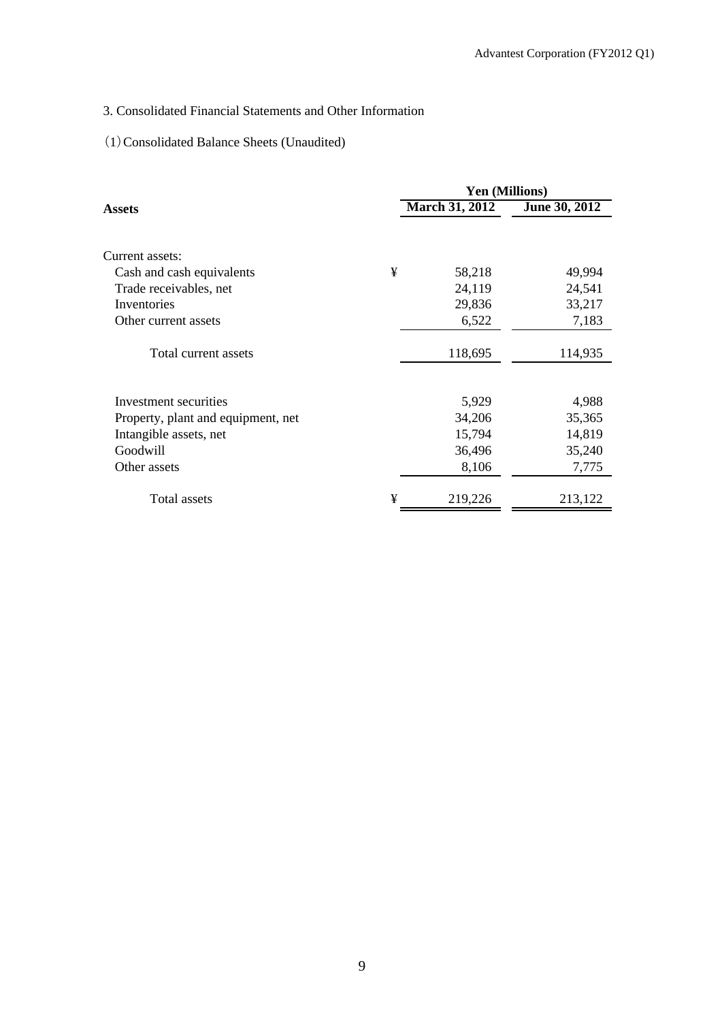# 3. Consolidated Financial Statements and Other Information

# (1)Consolidated Balance Sheets (Unaudited)

|                                    |   | <b>Yen (Millions)</b> |               |  |  |
|------------------------------------|---|-----------------------|---------------|--|--|
| Assets                             |   | <b>March 31, 2012</b> | June 30, 2012 |  |  |
|                                    |   |                       |               |  |  |
| Current assets:                    |   |                       |               |  |  |
| Cash and cash equivalents          | ¥ | 58,218                | 49,994        |  |  |
| Trade receivables, net             |   | 24,119                | 24,541        |  |  |
| Inventories                        |   | 29,836                | 33,217        |  |  |
| Other current assets               |   | 6,522                 | 7,183         |  |  |
| Total current assets               |   | 118,695               | 114,935       |  |  |
|                                    |   |                       |               |  |  |
| Investment securities              |   | 5,929                 | 4,988         |  |  |
| Property, plant and equipment, net |   | 34,206                | 35,365        |  |  |
| Intangible assets, net             |   | 15,794                | 14,819        |  |  |
| Goodwill                           |   | 36,496                | 35,240        |  |  |
| Other assets                       |   | 8,106                 | 7,775         |  |  |
| Total assets                       | ¥ | 219,226               | 213,122       |  |  |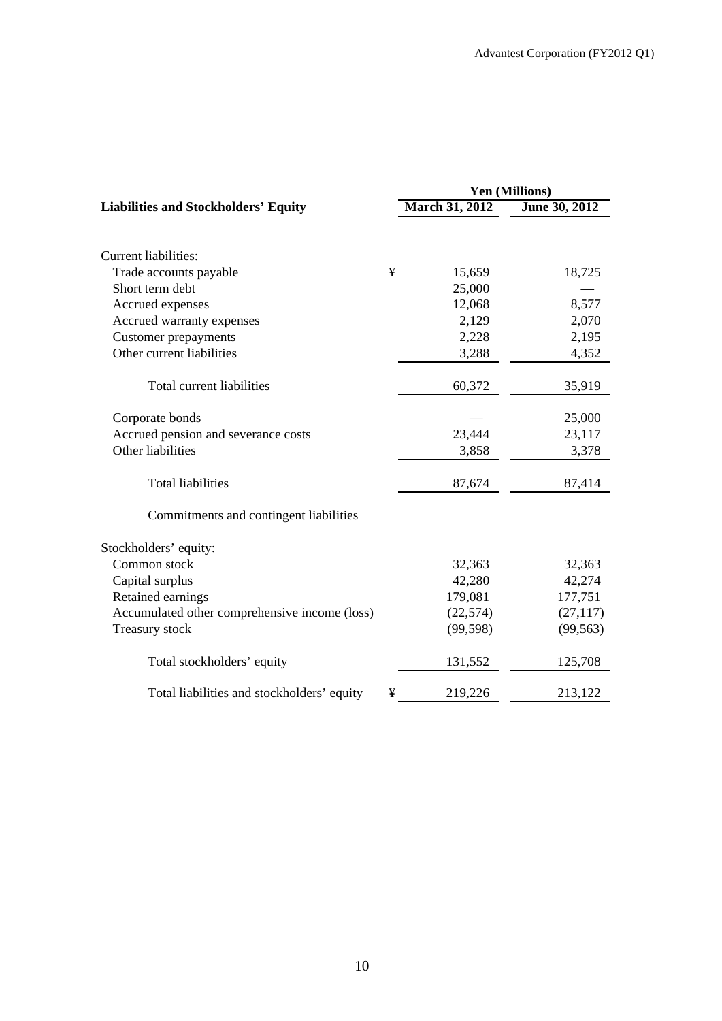|                                               | <b>Yen (Millions)</b> |                |               |  |
|-----------------------------------------------|-----------------------|----------------|---------------|--|
| <b>Liabilities and Stockholders' Equity</b>   |                       | March 31, 2012 | June 30, 2012 |  |
|                                               |                       |                |               |  |
| <b>Current liabilities:</b>                   |                       |                |               |  |
| Trade accounts payable                        | ¥                     | 15,659         | 18,725        |  |
| Short term debt                               |                       | 25,000         |               |  |
| Accrued expenses                              |                       | 12,068         | 8,577         |  |
| Accrued warranty expenses                     |                       | 2,129          | 2,070         |  |
| <b>Customer</b> prepayments                   |                       | 2,228          | 2,195         |  |
| Other current liabilities                     |                       | 3,288          | 4,352         |  |
| Total current liabilities                     |                       | 60,372         | 35,919        |  |
| Corporate bonds                               |                       |                | 25,000        |  |
| Accrued pension and severance costs           |                       | 23,444         | 23,117        |  |
| Other liabilities                             |                       | 3,858          | 3,378         |  |
| <b>Total liabilities</b>                      |                       | 87,674         | 87,414        |  |
| Commitments and contingent liabilities        |                       |                |               |  |
| Stockholders' equity:                         |                       |                |               |  |
| Common stock                                  |                       | 32,363         | 32,363        |  |
| Capital surplus                               |                       | 42,280         | 42,274        |  |
| Retained earnings                             |                       | 179,081        | 177,751       |  |
| Accumulated other comprehensive income (loss) |                       | (22, 574)      | (27, 117)     |  |
| Treasury stock                                |                       | (99, 598)      | (99, 563)     |  |
| Total stockholders' equity                    |                       | 131,552        | 125,708       |  |
| Total liabilities and stockholders' equity    | ¥                     | 219,226        | 213,122       |  |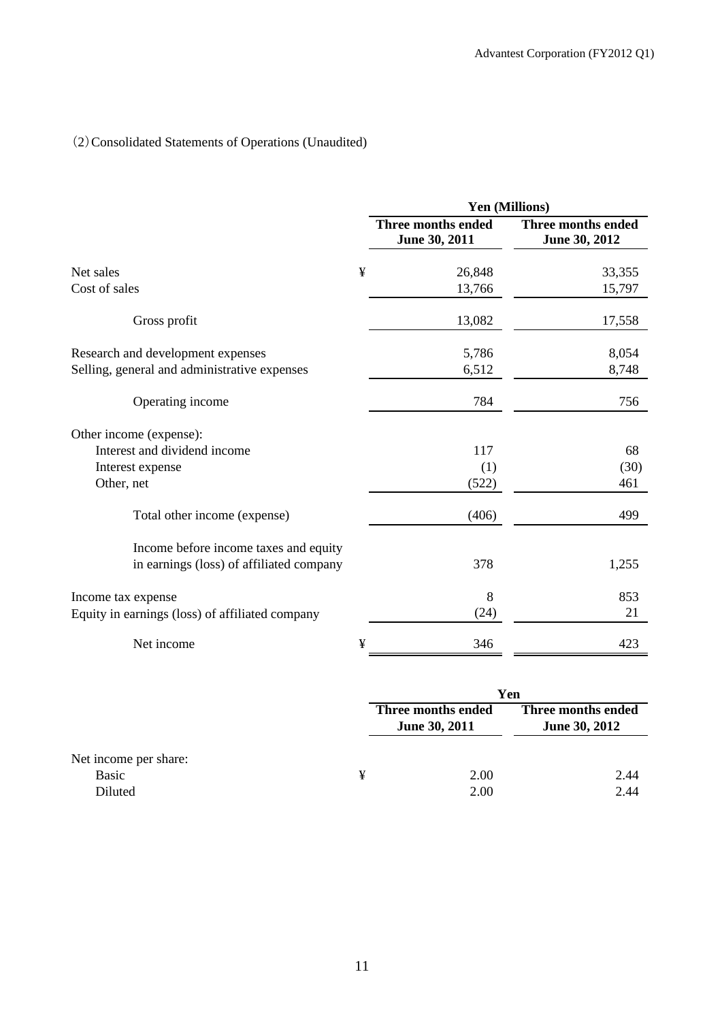# (2)Consolidated Statements of Operations (Unaudited)

|                                                 |   | Yen (Millions)                      |                                     |  |  |
|-------------------------------------------------|---|-------------------------------------|-------------------------------------|--|--|
|                                                 |   | Three months ended<br>June 30, 2011 | Three months ended<br>June 30, 2012 |  |  |
| Net sales                                       | ¥ | 26,848                              | 33,355                              |  |  |
| Cost of sales                                   |   | 13,766                              | 15,797                              |  |  |
| Gross profit                                    |   | 13,082                              | 17,558                              |  |  |
| Research and development expenses               |   | 5,786                               | 8,054                               |  |  |
| Selling, general and administrative expenses    |   | 6,512                               | 8,748                               |  |  |
| Operating income                                |   | 784                                 | 756                                 |  |  |
| Other income (expense):                         |   |                                     |                                     |  |  |
| Interest and dividend income                    |   | 117                                 | 68                                  |  |  |
| Interest expense                                |   | (1)                                 | (30)                                |  |  |
| Other, net                                      |   | (522)                               | 461                                 |  |  |
| Total other income (expense)                    |   | (406)                               | 499                                 |  |  |
| Income before income taxes and equity           |   |                                     |                                     |  |  |
| in earnings (loss) of affiliated company        |   | 378                                 | 1,255                               |  |  |
| Income tax expense                              |   | 8                                   | 853                                 |  |  |
| Equity in earnings (loss) of affiliated company |   | (24)                                | 21                                  |  |  |
| Net income                                      | ¥ | 346                                 | 423                                 |  |  |

|                       |   | Yen                                 |                                            |  |
|-----------------------|---|-------------------------------------|--------------------------------------------|--|
|                       |   | Three months ended<br>June 30, 2011 | Three months ended<br><b>June 30, 2012</b> |  |
| Net income per share: |   |                                     |                                            |  |
| Basic                 | ¥ | 2.00                                | 2.44                                       |  |
| Diluted               |   | 2.00                                | 2.44                                       |  |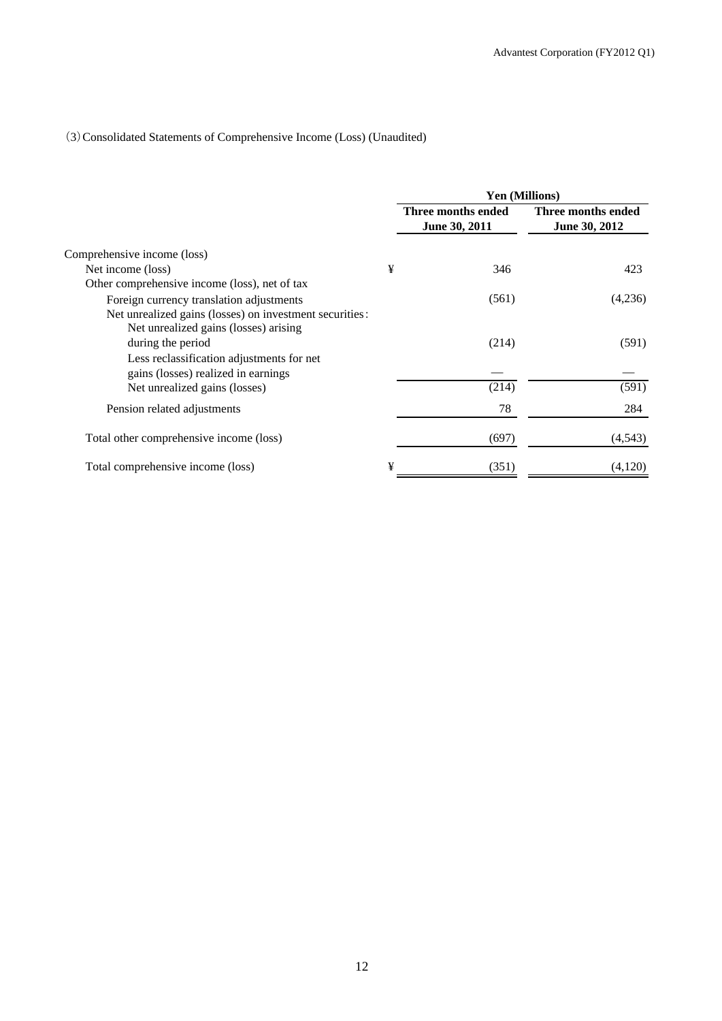# (3)Consolidated Statements of Comprehensive Income (Loss) (Unaudited)

|                                                                                                  |   | <b>Yen (Millions)</b>               |                                     |  |
|--------------------------------------------------------------------------------------------------|---|-------------------------------------|-------------------------------------|--|
|                                                                                                  |   | Three months ended<br>June 30, 2011 | Three months ended<br>June 30, 2012 |  |
| Comprehensive income (loss)                                                                      |   |                                     |                                     |  |
| Net income (loss)                                                                                | ¥ | 346                                 | 423                                 |  |
| Other comprehensive income (loss), net of tax                                                    |   |                                     |                                     |  |
| Foreign currency translation adjustments                                                         |   | (561)                               | (4,236)                             |  |
| Net unrealized gains (losses) on investment securities:<br>Net unrealized gains (losses) arising |   |                                     |                                     |  |
| during the period                                                                                |   | (214)                               | (591)                               |  |
| Less reclassification adjustments for net<br>gains (losses) realized in earnings                 |   |                                     |                                     |  |
| Net unrealized gains (losses)                                                                    |   | (214)                               | (591)                               |  |
| Pension related adjustments                                                                      |   | 78                                  | 284                                 |  |
| Total other comprehensive income (loss)                                                          |   | (697)                               | (4,543)                             |  |
| Total comprehensive income (loss)                                                                | ¥ | (351)                               | (4,120)                             |  |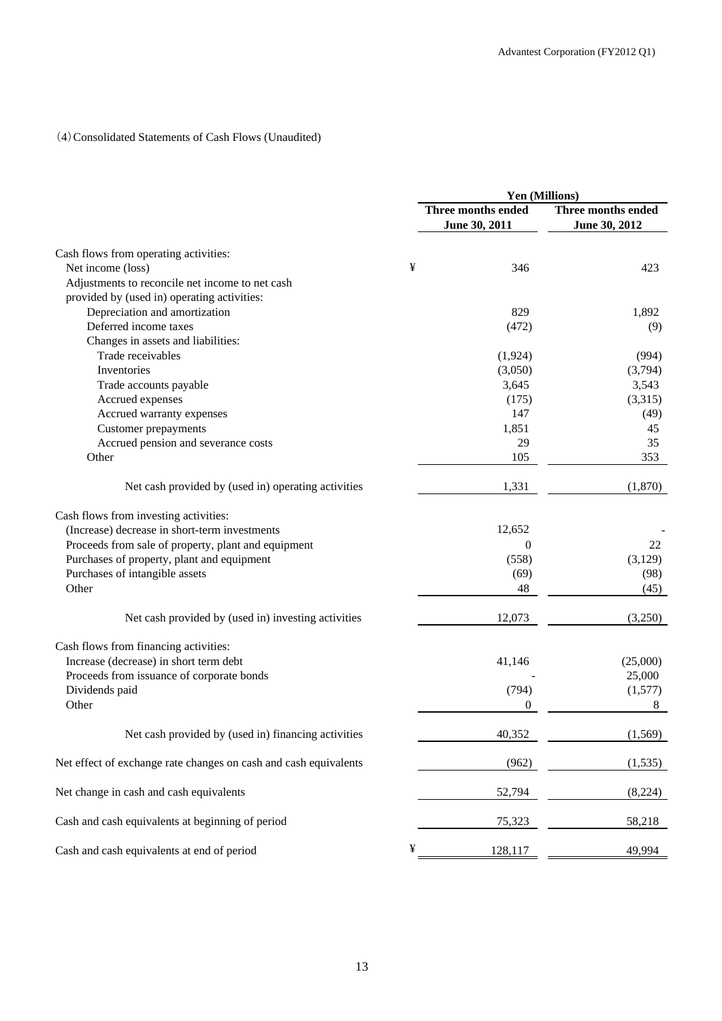# (4)Consolidated Statements of Cash Flows (Unaudited)

|                                                                  |   | Yen (Millions)            |                    |  |
|------------------------------------------------------------------|---|---------------------------|--------------------|--|
|                                                                  |   | <b>Three months ended</b> | Three months ended |  |
|                                                                  |   | June 30, 2011             | June 30, 2012      |  |
|                                                                  |   |                           |                    |  |
| Cash flows from operating activities:                            | ¥ |                           |                    |  |
| Net income (loss)                                                |   | 346                       | 423                |  |
| Adjustments to reconcile net income to net cash                  |   |                           |                    |  |
| provided by (used in) operating activities:                      |   |                           |                    |  |
| Depreciation and amortization                                    |   | 829                       | 1,892              |  |
| Deferred income taxes                                            |   | (472)                     | (9)                |  |
| Changes in assets and liabilities:                               |   |                           |                    |  |
| Trade receivables                                                |   | (1, 924)                  | (994)              |  |
| Inventories                                                      |   | (3,050)                   | (3,794)            |  |
| Trade accounts payable                                           |   | 3,645                     | 3,543              |  |
| Accrued expenses                                                 |   | (175)                     | (3,315)            |  |
| Accrued warranty expenses                                        |   | 147                       | (49)               |  |
| <b>Customer</b> prepayments                                      |   | 1,851                     | 45                 |  |
| Accrued pension and severance costs                              |   | 29                        | 35                 |  |
| Other                                                            |   | 105                       | 353                |  |
| Net cash provided by (used in) operating activities              |   | 1,331                     | (1,870)            |  |
| Cash flows from investing activities:                            |   |                           |                    |  |
| (Increase) decrease in short-term investments                    |   | 12,652                    |                    |  |
| Proceeds from sale of property, plant and equipment              |   | $\Omega$                  | 22                 |  |
| Purchases of property, plant and equipment                       |   | (558)                     | (3,129)            |  |
|                                                                  |   |                           |                    |  |
| Purchases of intangible assets                                   |   | (69)                      | (98)               |  |
| Other                                                            |   | 48                        | (45)               |  |
| Net cash provided by (used in) investing activities              |   | 12,073                    | (3,250)            |  |
| Cash flows from financing activities:                            |   |                           |                    |  |
| Increase (decrease) in short term debt                           |   | 41,146                    | (25,000)           |  |
| Proceeds from issuance of corporate bonds                        |   |                           | 25,000             |  |
| Dividends paid                                                   |   | (794)                     | (1,577)            |  |
| Other                                                            |   | $\overline{0}$            | 8                  |  |
| Net cash provided by (used in) financing activities              |   | 40,352                    | (1, 569)           |  |
| Net effect of exchange rate changes on cash and cash equivalents |   | (962)                     | (1, 535)           |  |
| Net change in cash and cash equivalents                          |   | 52,794                    | (8,224)            |  |
| Cash and cash equivalents at beginning of period                 |   | 75,323                    | 58,218             |  |
| Cash and cash equivalents at end of period                       | ¥ | 128,117                   | 49,994             |  |